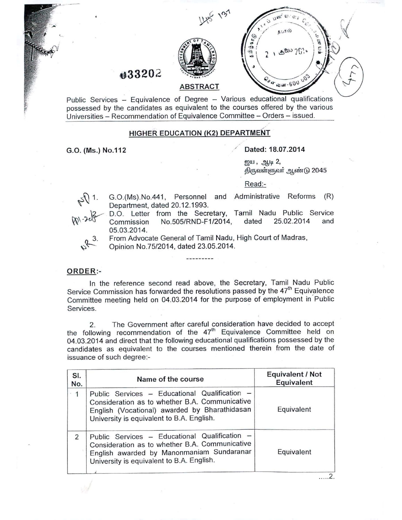

Public Services - Equivalence of Degree - Various educational qualifications possessed by the candidates as equivalent to the courses offered by the various Universities - Recommendation of Equivalence Committee - Orders - issued.

## HIGHER EDUCATION (K2) DEPARTMENT

G.O. (Ms.) NO.112

**tJ33202**

## / Dated: 18.07.2014

 $g$ gu,  $g$ <sub>h</sub>l $g$  2, திருவள்ளுவர் ஆண்டு 2045

தபால்

 $\sqrt[3]{a}$   $\sqrt{a}$   $\sqrt{a}$   $\sqrt{b}$ 

 $55070$ 

Read:-

ڣ

- G.0.(Ms).No.441, Personnel and Administrative Reforms (R) Department, dated 20.12.1993.
- D.O. Letter from the Secretary, Tamil Nadu Public Service Commission NO.505/RND-F1/2014, dated 25.02.2014 and 05.03.2014.

From Advocate General of Tamil Nadu, High Court of Madras,

Opinion No.75/2014, dated 23.05.2014.

## ORDER:-

In the reference second read above, the Secretary, Tamil Nadu Public Service Commission has forwarded the resolutions passed by the 47<sup>th</sup> Equivalence Committee meeting held on 04.03.2014 for the purpose of employment in'Public Services.

2. The Government after careful consideration have decided to accept the following recommendation of the 47<sup>th</sup> Equivalence Committee held on 04.03.2014 and direct that the following educational qualifications possessed by the candidates as equivalent to the courses mentioned therein from the date of issuance of such degree:-

| SI.<br>No.    | Name of the course                                                                                                                                                                            | Equivalent / Not<br>Equivalent |
|---------------|-----------------------------------------------------------------------------------------------------------------------------------------------------------------------------------------------|--------------------------------|
| $-1$          | Public Services - Educational Qualification -<br>Consideration as to whether B.A. Communicative<br>English (Vocational) awarded by Bharathidasan<br>University is equivalent to B.A. English. | Equivalent                     |
| $\mathcal{P}$ | Public Services - Educational Qualification -<br>Consideration as to whether B.A. Communicative<br>English awarded by Manonmaniam Sundaranar<br>University is equivalent to B.A. English.     | Equivalent                     |
|               |                                                                                                                                                                                               |                                |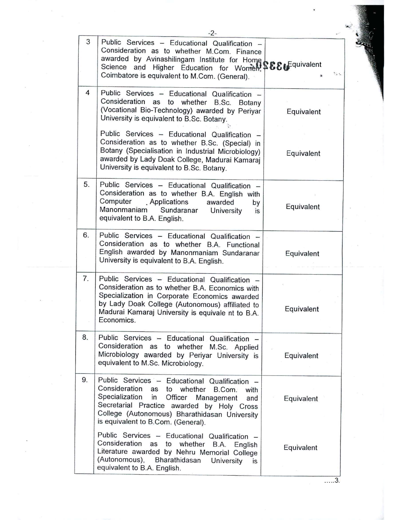|    | $-2-$                                                                                                                                                                                                                                                                                          |            |  |
|----|------------------------------------------------------------------------------------------------------------------------------------------------------------------------------------------------------------------------------------------------------------------------------------------------|------------|--|
| 3  | Public Services - Educational Qualification -<br>Consideration as to whether M.Com. Finance<br>awarded by Avinashilingam Institute for Home Science and Higher Education for Women, SECFquivalent<br>Coimbatore is equivalent to M.Com. (General).                                             | Y.         |  |
| 4  | Public Services - Educational Qualification -<br>Consideration as to whether B.Sc. Botany<br>(Vocational Bio-Technology) awarded by Periyar<br>University is equivalent to B.Sc. Botany.                                                                                                       | Equivalent |  |
|    | Public Services - Educational Qualification -<br>Consideration as to whether B.Sc. (Special) in<br>Botany (Specialisation in Industrial Microbiology)<br>awarded by Lady Doak College, Madurai Kamaraj<br>University is equivalent to B.Sc. Botany.                                            | Equivalent |  |
| 5. | Public Services - Educational Qualification -<br>Consideration as to whether B.A. English with<br>Computer Applications<br>awarded<br>by<br>Manonmaniam<br>Sundaranar<br>University<br>is<br>equivalent to B.A. English.                                                                       | Equivalent |  |
| 6. | Public Services - Educational Qualification -<br>Consideration as to whether B.A. Functional<br>English awarded by Manonmaniam Sundaranar<br>University is equivalent to B.A. English.                                                                                                         | Equivalent |  |
| 7. | Public Services - Educational Qualification -<br>Consideration as to whether B.A. Economics with<br>Specialization in Corporate Economics awarded<br>by Lady Doak College (Autonomous) affiliated to<br>Madurai Kamaraj University is equivale nt to B.A.<br>Economics.                        | Equivalent |  |
| 8. | Public Services - Educational Qualification -<br>Consideration as to whether M.Sc. Applied<br>Microbiology awarded by Periyar University is<br>equivalent to M.Sc. Microbiology.                                                                                                               | Equivalent |  |
| 9. | Public Services - Educational Qualification -<br>Consideration<br>whether<br>as to<br>B.Com.<br>with<br>Specialization<br>in<br>Officer Management<br>and<br>Secretarial Practice awarded by Holy Cross<br>College (Autonomous) Bharathidasan University<br>is equivalent to B.Com. (General). | Equivalent |  |
|    | Public Services - Educational Qualification -<br>Consideration<br>as<br>to<br>whether<br>B.A.<br>English<br>Literature awarded by Nehru Memorial College<br>(Autonomous),<br>Bharathidasan<br>University<br>is<br>equivalent to B.A. English.                                                  | Equivalent |  |

.. ... 3.